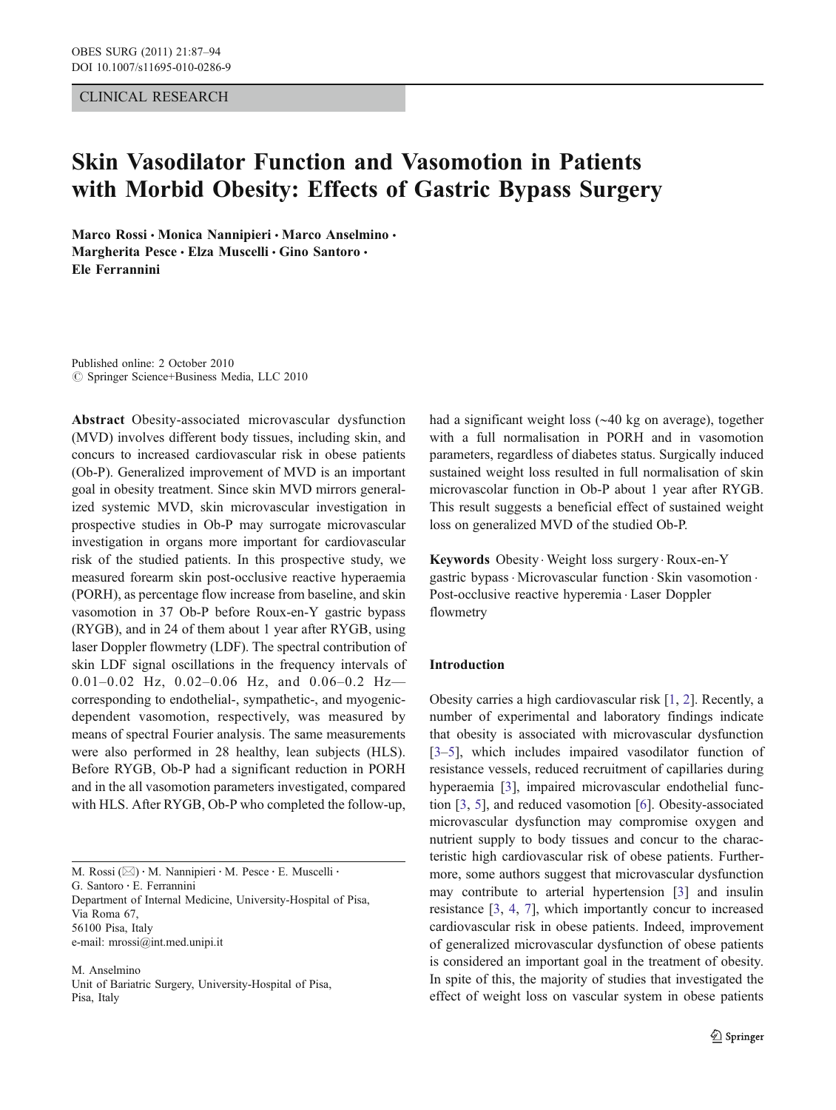# CLINICAL RESEARCH

# Skin Vasodilator Function and Vasomotion in Patients with Morbid Obesity: Effects of Gastric Bypass Surgery

Marco Rossi · Monica Nannipieri · Marco Anselmino · Margherita Pesce · Elza Muscelli · Gino Santoro · Ele Ferrannini

Published online: 2 October 2010  $\circ$  Springer Science+Business Media, LLC 2010

Abstract Obesity-associated microvascular dysfunction (MVD) involves different body tissues, including skin, and concurs to increased cardiovascular risk in obese patients (Ob-P). Generalized improvement of MVD is an important goal in obesity treatment. Since skin MVD mirrors generalized systemic MVD, skin microvascular investigation in prospective studies in Ob-P may surrogate microvascular investigation in organs more important for cardiovascular risk of the studied patients. In this prospective study, we measured forearm skin post-occlusive reactive hyperaemia (PORH), as percentage flow increase from baseline, and skin vasomotion in 37 Ob-P before Roux-en-Y gastric bypass (RYGB), and in 24 of them about 1 year after RYGB, using laser Doppler flowmetry (LDF). The spectral contribution of skin LDF signal oscillations in the frequency intervals of 0.01–0.02 Hz, 0.02–0.06 Hz, and 0.06–0.2 Hz corresponding to endothelial-, sympathetic-, and myogenicdependent vasomotion, respectively, was measured by means of spectral Fourier analysis. The same measurements were also performed in 28 healthy, lean subjects (HLS). Before RYGB, Ob-P had a significant reduction in PORH and in the all vasomotion parameters investigated, compared with HLS. After RYGB, Ob-P who completed the follow-up,

M. Rossi (⊠) · M. Nannipieri · M. Pesce · E. Muscelli · G. Santoro : E. Ferrannini Department of Internal Medicine, University-Hospital of Pisa, Via Roma 67, 56100 Pisa, Italy e-mail: mrossi@int.med.unipi.it

M. Anselmino Unit of Bariatric Surgery, University-Hospital of Pisa, Pisa, Italy

had a significant weight loss (∼40 kg on average), together with a full normalisation in PORH and in vasomotion parameters, regardless of diabetes status. Surgically induced sustained weight loss resulted in full normalisation of skin microvascolar function in Ob-P about 1 year after RYGB. This result suggests a beneficial effect of sustained weight loss on generalized MVD of the studied Ob-P.

Keywords Obesity . Weight loss surgery . Roux-en-Y gastric bypass . Microvascular function . Skin vasomotion . Post-occlusive reactive hyperemia . Laser Doppler flowmetry

## Introduction

Obesity carries a high cardiovascular risk [[1,](#page-6-0) [2\]](#page-6-0). Recently, a number of experimental and laboratory findings indicate that obesity is associated with microvascular dysfunction [\[3](#page-6-0)–[5](#page-6-0)], which includes impaired vasodilator function of resistance vessels, reduced recruitment of capillaries during hyperaemia [[3\]](#page-6-0), impaired microvascular endothelial function [[3,](#page-6-0) [5](#page-6-0)], and reduced vasomotion [\[6\]](#page-6-0). Obesity-associated microvascular dysfunction may compromise oxygen and nutrient supply to body tissues and concur to the characteristic high cardiovascular risk of obese patients. Furthermore, some authors suggest that microvascular dysfunction may contribute to arterial hypertension [[3\]](#page-6-0) and insulin resistance [[3,](#page-6-0) [4,](#page-6-0) [7\]](#page-6-0), which importantly concur to increased cardiovascular risk in obese patients. Indeed, improvement of generalized microvascular dysfunction of obese patients is considered an important goal in the treatment of obesity. In spite of this, the majority of studies that investigated the effect of weight loss on vascular system in obese patients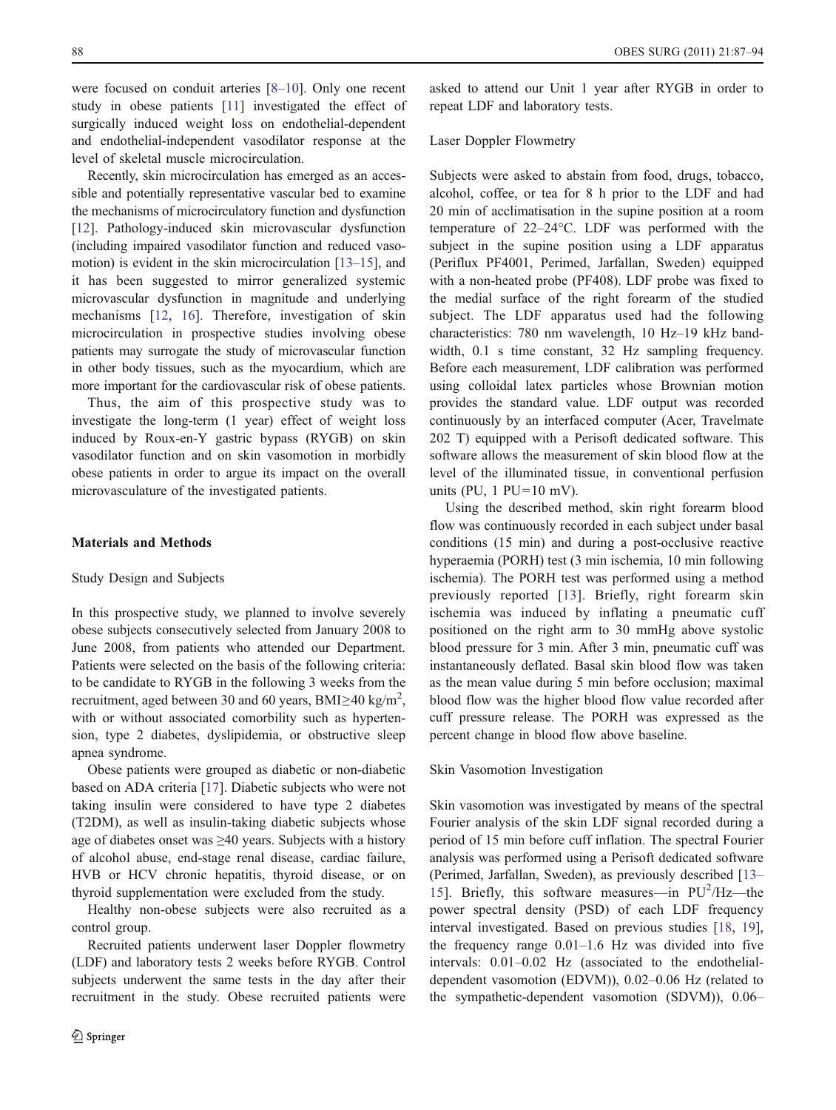were focused on conduit arteries [\[8](#page-6-0)–[10\]](#page-6-0). Only one recent study in obese patients [\[11](#page-6-0)] investigated the effect of surgically induced weight loss on endothelial-dependent and endothelial-independent vasodilator response at the level of skeletal muscle microcirculation.

Recently, skin microcirculation has emerged as an accessible and potentially representative vascular bed to examine the mechanisms of microcirculatory function and dysfunction [\[12](#page-6-0)]. Pathology-induced skin microvascular dysfunction (including impaired vasodilator function and reduced vasomotion) is evident in the skin microcirculation [[13](#page-6-0)–[15](#page-6-0)], and it has been suggested to mirror generalized systemic microvascular dysfunction in magnitude and underlying mechanisms [\[12](#page-6-0), [16](#page-6-0)]. Therefore, investigation of skin microcirculation in prospective studies involving obese patients may surrogate the study of microvascular function in other body tissues, such as the myocardium, which are more important for the cardiovascular risk of obese patients.

Thus, the aim of this prospective study was to investigate the long-term (1 year) effect of weight loss induced by Roux-en-Y gastric bypass (RYGB) on skin vasodilator function and on skin vasomotion in morbidly obese patients in order to argue its impact on the overall microvasculature of the investigated patients.

# Materials and Methods

# Study Design and Subjects

In this prospective study, we planned to involve severely obese subjects consecutively selected from January 2008 to June 2008, from patients who attended our Department. Patients were selected on the basis of the following criteria: to be candidate to RYGB in the following 3 weeks from the recruitment, aged between 30 and 60 years, BMI≥40 kg/m<sup>2</sup>, with or without associated comorbility such as hypertension, type 2 diabetes, dyslipidemia, or obstructive sleep apnea syndrome.

Obese patients were grouped as diabetic or non-diabetic based on ADA criteria [\[17](#page-6-0)]. Diabetic subjects who were not taking insulin were considered to have type 2 diabetes (T2DM), as well as insulin-taking diabetic subjects whose age of diabetes onset was ≥40 years. Subjects with a history of alcohol abuse, end-stage renal disease, cardiac failure, HVB or HCV chronic hepatitis, thyroid disease, or on thyroid supplementation were excluded from the study.

Healthy non-obese subjects were also recruited as a control group.

Recruited patients underwent laser Doppler flowmetry (LDF) and laboratory tests 2 weeks before RYGB. Control subjects underwent the same tests in the day after their recruitment in the study. Obese recruited patients were

asked to attend our Unit 1 year after RYGB in order to repeat LDF and laboratory tests.

## Laser Doppler Flowmetry

Subjects were asked to abstain from food, drugs, tobacco, alcohol, coffee, or tea for 8 h prior to the LDF and had 20 min of acclimatisation in the supine position at a room temperature of 22–24°C. LDF was performed with the subject in the supine position using a LDF apparatus (Periflux PF4001, Perimed, Jarfallan, Sweden) equipped with a non-heated probe (PF408). LDF probe was fixed to the medial surface of the right forearm of the studied subject. The LDF apparatus used had the following characteristics: 780 nm wavelength, 10 Hz–19 kHz bandwidth, 0.1 s time constant, 32 Hz sampling frequency. Before each measurement, LDF calibration was performed using colloidal latex particles whose Brownian motion provides the standard value. LDF output was recorded continuously by an interfaced computer (Acer, Travelmate 202 T) equipped with a Perisoft dedicated software. This software allows the measurement of skin blood flow at the level of the illuminated tissue, in conventional perfusion units (PU,  $1$  PU=10 mV).

Using the described method, skin right forearm blood flow was continuously recorded in each subject under basal conditions (15 min) and during a post-occlusive reactive hyperaemia (PORH) test (3 min ischemia, 10 min following ischemia). The PORH test was performed using a method previously reported [[13](#page-6-0)]. Briefly, right forearm skin ischemia was induced by inflating a pneumatic cuff positioned on the right arm to 30 mmHg above systolic blood pressure for 3 min. After 3 min, pneumatic cuff was instantaneously deflated. Basal skin blood flow was taken as the mean value during 5 min before occlusion; maximal blood flow was the higher blood flow value recorded after cuff pressure release. The PORH was expressed as the percent change in blood flow above baseline.

## Skin Vasomotion Investigation

Skin vasomotion was investigated by means of the spectral Fourier analysis of the skin LDF signal recorded during a period of 15 min before cuff inflation. The spectral Fourier analysis was performed using a Perisoft dedicated software (Perimed, Jarfallan, Sweden), as previously described [\[13](#page-6-0)– [15](#page-6-0)]. Briefly, this software measures—in PU<sup>2</sup>/Hz—the power spectral density (PSD) of each LDF frequency interval investigated. Based on previous studies [[18,](#page-6-0) [19\]](#page-6-0), the frequency range 0.01–1.6 Hz was divided into five intervals: 0.01–0.02 Hz (associated to the endothelialdependent vasomotion (EDVM)), 0.02–0.06 Hz (related to the sympathetic-dependent vasomotion (SDVM)), 0.06–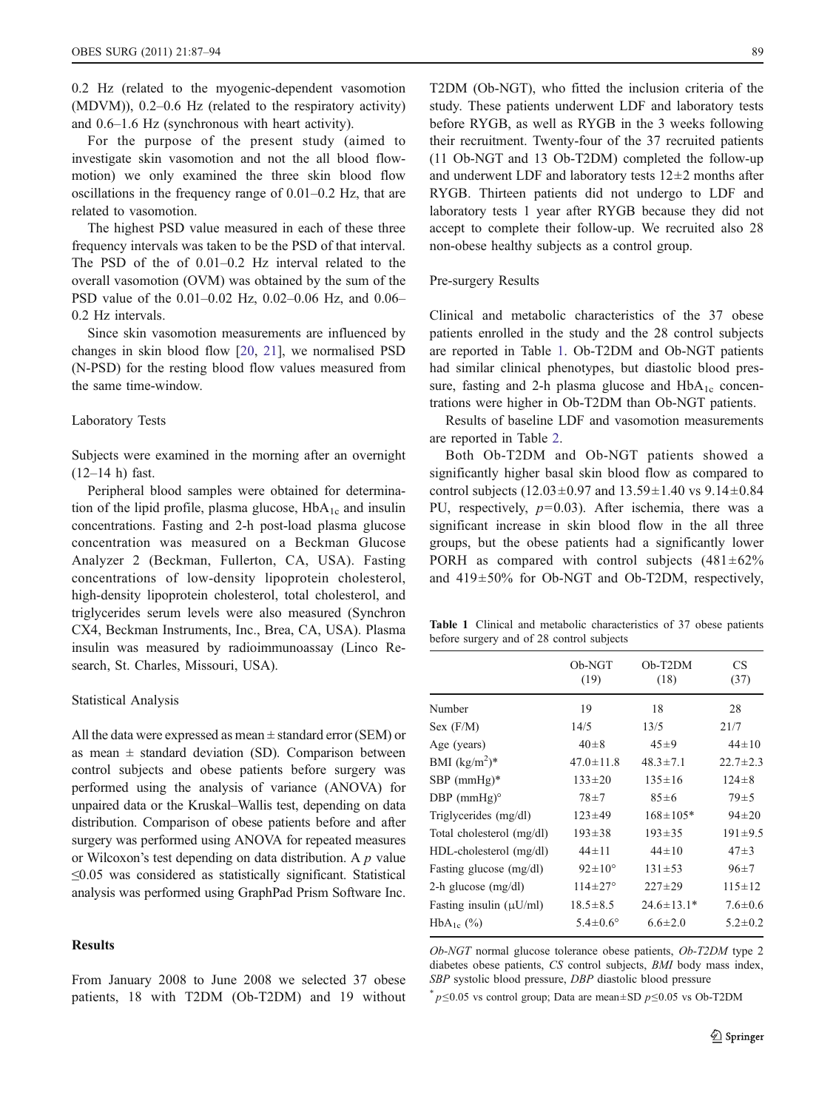0.2 Hz (related to the myogenic-dependent vasomotion (MDVM)), 0.2–0.6 Hz (related to the respiratory activity) and 0.6–1.6 Hz (synchronous with heart activity).

For the purpose of the present study (aimed to investigate skin vasomotion and not the all blood flowmotion) we only examined the three skin blood flow oscillations in the frequency range of 0.01–0.2 Hz, that are related to vasomotion.

The highest PSD value measured in each of these three frequency intervals was taken to be the PSD of that interval. The PSD of the of 0.01–0.2 Hz interval related to the overall vasomotion (OVM) was obtained by the sum of the PSD value of the 0.01–0.02 Hz, 0.02–0.06 Hz, and 0.06– 0.2 Hz intervals.

Since skin vasomotion measurements are influenced by changes in skin blood flow [\[20](#page-6-0), [21\]](#page-6-0), we normalised PSD (N-PSD) for the resting blood flow values measured from the same time-window.

#### Laboratory Tests

Subjects were examined in the morning after an overnight (12–14 h) fast.

Peripheral blood samples were obtained for determination of the lipid profile, plasma glucose,  $HbA_{1c}$  and insulin concentrations. Fasting and 2-h post-load plasma glucose concentration was measured on a Beckman Glucose Analyzer 2 (Beckman, Fullerton, CA, USA). Fasting concentrations of low-density lipoprotein cholesterol, high-density lipoprotein cholesterol, total cholesterol, and triglycerides serum levels were also measured (Synchron CX4, Beckman Instruments, Inc., Brea, CA, USA). Plasma insulin was measured by radioimmunoassay (Linco Research, St. Charles, Missouri, USA).

#### Statistical Analysis

All the data were expressed as mean  $\pm$  standard error (SEM) or as mean  $\pm$  standard deviation (SD). Comparison between control subjects and obese patients before surgery was performed using the analysis of variance (ANOVA) for unpaired data or the Kruskal–Wallis test, depending on data distribution. Comparison of obese patients before and after surgery was performed using ANOVA for repeated measures or Wilcoxon's test depending on data distribution. A  $p$  value  $\leq$ 0.05 was considered as statistically significant. Statistical analysis was performed using GraphPad Prism Software Inc.

# **Results**

From January 2008 to June 2008 we selected 37 obese patients, 18 with T2DM (Ob-T2DM) and 19 without

T2DM (Ob-NGT), who fitted the inclusion criteria of the study. These patients underwent LDF and laboratory tests before RYGB, as well as RYGB in the 3 weeks following their recruitment. Twenty-four of the 37 recruited patients (11 Ob-NGT and 13 Ob-T2DM) completed the follow-up and underwent LDF and laboratory tests  $12\pm2$  months after RYGB. Thirteen patients did not undergo to LDF and laboratory tests 1 year after RYGB because they did not accept to complete their follow-up. We recruited also 28 non-obese healthy subjects as a control group.

# Pre-surgery Results

Clinical and metabolic characteristics of the 37 obese patients enrolled in the study and the 28 control subjects are reported in Table 1. Ob-T2DM and Ob-NGT patients had similar clinical phenotypes, but diastolic blood pressure, fasting and 2-h plasma glucose and  $HbA_{1c}$  concentrations were higher in Ob-T2DM than Ob-NGT patients.

Results of baseline LDF and vasomotion measurements are reported in Table [2.](#page-3-0)

Both Ob-T2DM and Ob-NGT patients showed a significantly higher basal skin blood flow as compared to control subjects (12.03 $\pm$ 0.97 and 13.59 $\pm$ 1.40 vs 9.14 $\pm$ 0.84 PU, respectively,  $p=0.03$ ). After ischemia, there was a significant increase in skin blood flow in the all three groups, but the obese patients had a significantly lower PORH as compared with control subjects  $(481 \pm 62\%)$ and 419±50% for Ob-NGT and Ob-T2DM, respectively,

Table 1 Clinical and metabolic characteristics of 37 obese patients before surgery and of 28 control subjects

|                              | Ob-NGT<br>(19)        | $Ob-T2DM$<br>(18) | <b>CS</b><br>(37) |
|------------------------------|-----------------------|-------------------|-------------------|
| Number                       | 19                    | 18                | 28                |
| Sex (F/M)                    | 14/5                  | 13/5              | 21/7              |
| Age (years)                  | $40 \pm 8$            | $45 \pm 9$        | $44 \pm 10$       |
| BMI $(kg/m^2)^*$             | $47.0 \pm 11.8$       | $48.3 \pm 7.1$    | $22.7 \pm 2.3$    |
| $SBP$ (mmHg)*                | $133 \pm 20$          | $135 \pm 16$      | $124 \pm 8$       |
| DBP $(mmHg)°$                | $78 + 7$              | $85 \pm 6$        | $79+5$            |
| Triglycerides (mg/dl)        | $123 \pm 49$          | $168 \pm 105*$    | $94 \pm 20$       |
| Total cholesterol (mg/dl)    | $193 \pm 38$          | $193 \pm 35$      | $191 \pm 9.5$     |
| $HDL$ -cholesterol $(mg/dl)$ | $44 \pm 11$           | $44 \pm 10$       | $47 + 3$          |
| Fasting glucose (mg/dl)      | $92 \pm 10^{\circ}$   | $131 \pm 53$      | $96+7$            |
| 2-h glucose $(mg/dl)$        | $114 \pm 27^{\circ}$  | $227 \pm 29$      | $115 \pm 12$      |
| Fasting insulin $(\mu U/ml)$ | $18.5 \pm 8.5$        | $24.6 \pm 13.1*$  | $7.6 \pm 0.6$     |
| $HbA_{1c}$ (%)               | $5.4 \pm 0.6^{\circ}$ | $6.6 \pm 2.0$     | $5.2 \pm 0.2$     |

Ob-NGT normal glucose tolerance obese patients, Ob-T2DM type 2 diabetes obese patients, CS control subjects, BMI body mass index, SBP systolic blood pressure, DBP diastolic blood pressure

 $p \leq 0.05$  vs control group; Data are mean±SD  $p \leq 0.05$  vs Ob-T2DM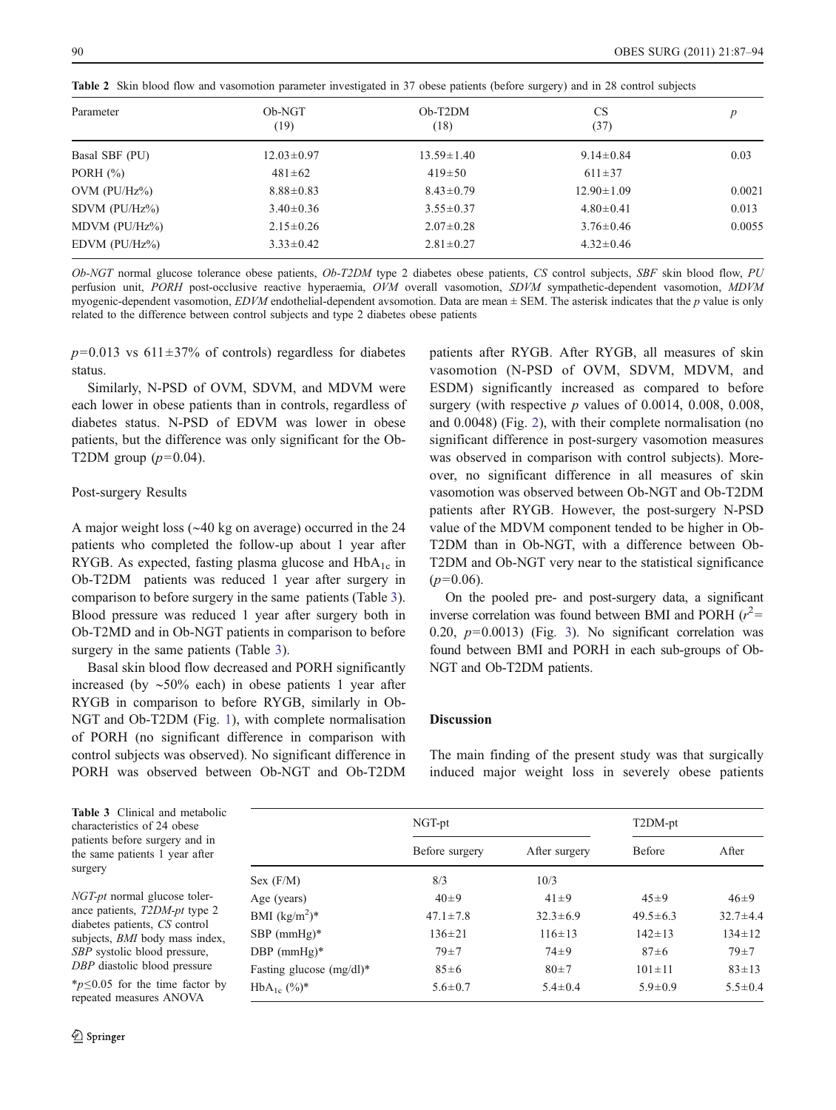| Parameter           | Ob-NGT<br>(19)   | $Oh-T2DM$<br>(18) | <b>CS</b><br>(37) | p      |
|---------------------|------------------|-------------------|-------------------|--------|
| Basal SBF (PU)      | $12.03 \pm 0.97$ | $13.59 \pm 1.40$  | $9.14 \pm 0.84$   | 0.03   |
| PORH $(\%)$         | $481 \pm 62$     | $419\pm50$        | $611 \pm 37$      |        |
| $OVM$ ( $PU/Hz\$ )  | $8.88 \pm 0.83$  | $8.43 \pm 0.79$   | $12.90 \pm 1.09$  | 0.0021 |
| SDVM $(PU/Hz\%)$    | $3.40 \pm 0.36$  | $3.55 \pm 0.37$   | $4.80 \pm 0.41$   | 0.013  |
| MDVM $(PU/Hz%)$     | $2.15 \pm 0.26$  | $2.07 \pm 0.28$   | $3.76 \pm 0.46$   | 0.0055 |
| $EDVM$ ( $PU/Hz\$ ) | $3.33 \pm 0.42$  | $2.81 \pm 0.27$   | $4.32 \pm 0.46$   |        |

<span id="page-3-0"></span>Table 2 Skin blood flow and vasomotion parameter investigated in 37 obese patients (before surgery) and in 28 control subjects

Ob-NGT normal glucose tolerance obese patients, Ob-T2DM type 2 diabetes obese patients, CS control subjects, SBF skin blood flow, PU perfusion unit, PORH post-occlusive reactive hyperaemia, OVM overall vasomotion, SDVM sympathetic-dependent vasomotion, MDVM myogenic-dependent vasomotion,  $EDVM$  endothelial-dependent avsomotion. Data are mean  $\pm$  SEM. The asterisk indicates that the p value is only related to the difference between control subjects and type 2 diabetes obese patients

 $p=0.013$  vs 611 $\pm$ 37% of controls) regardless for diabetes status.

Similarly, N-PSD of OVM, SDVM, and MDVM were each lower in obese patients than in controls, regardless of diabetes status. N-PSD of EDVM was lower in obese patients, but the difference was only significant for the Ob-T2DM group  $(p=0.04)$ .

## Post-surgery Results

A major weight loss (∼40 kg on average) occurred in the 24 patients who completed the follow-up about 1 year after RYGB. As expected, fasting plasma glucose and  $HbA_{1c}$  in Ob-T2DM patients was reduced 1 year after surgery in comparison to before surgery in the same patients (Table 3). Blood pressure was reduced 1 year after surgery both in Ob-T2MD and in Ob-NGT patients in comparison to before surgery in the same patients (Table 3).

Basal skin blood flow decreased and PORH significantly increased (by ∼50% each) in obese patients 1 year after RYGB in comparison to before RYGB, similarly in Ob-NGT and Ob-T2DM (Fig. [1](#page-4-0)), with complete normalisation of PORH (no significant difference in comparison with control subjects was observed). No significant difference in PORH was observed between Ob-NGT and Ob-T2DM

patients after RYGB. After RYGB, all measures of skin vasomotion (N-PSD of OVM, SDVM, MDVM, and ESDM) significantly increased as compared to before surgery (with respective  $p$  values of 0.0014, 0.008, 0.008, and 0.0048) (Fig. [2](#page-4-0)), with their complete normalisation (no significant difference in post-surgery vasomotion measures was observed in comparison with control subjects). Moreover, no significant difference in all measures of skin vasomotion was observed between Ob-NGT and Ob-T2DM patients after RYGB. However, the post-surgery N-PSD value of the MDVM component tended to be higher in Ob-T2DM than in Ob-NGT, with a difference between Ob-T2DM and Ob-NGT very near to the statistical significance  $(p=0.06)$ .

On the pooled pre- and post-surgery data, a significant inverse correlation was found between BMI and PORH  $(r^2 =$ 0.20,  $p=0.0013$ ) (Fig. [3\)](#page-5-0). No significant correlation was found between BMI and PORH in each sub-groups of Ob-NGT and Ob-T2DM patients.

## **Discussion**

The main finding of the present study was that surgically induced major weight loss in severely obese patients

Table 3 Clinical and metabolic characteristics of 24 obese patients before surgery and in the same patients 1 year after surgery

NGT-pt normal glucose tolerance patients, T2DM-pt type 2 diabetes patients, CS control subjects, BMI body mass index, SBP systolic blood pressure, DBP diastolic blood pressure

 $**p*≤0.05$  for the time factor by repeated measures ANOVA

|                             | NGT-pt         |                | T2DM-pt        |                |
|-----------------------------|----------------|----------------|----------------|----------------|
|                             | Before surgery | After surgery  | <b>Before</b>  | After          |
| Sex (F/M)                   | 8/3            | 10/3           |                |                |
| Age (years)                 | $40+9$         | $41 \pm 9$     | $45 + 9$       | $46 + 9$       |
| BMI $(kg/m^2)^*$            | $47.1 \pm 7.8$ | $32.3 \pm 6.9$ | $49.5 \pm 6.3$ | $32.7 \pm 4.4$ |
| $SBP$ (mmHg)*               | $136 \pm 21$   | $116 \pm 13$   | $142 \pm 13$   | $134 \pm 12$   |
| DBP $(mmHg)*$               | $79 + 7$       | $74 + 9$       | $87 \pm 6$     | $79 + 7$       |
| Fasting glucose $(mg/dl)^*$ | $85 \pm 6$     | $80+7$         | $101 \pm 11$   | $83 \pm 13$    |
| $HbA_{1c}$ $(\%)^*$         | $5.6 \pm 0.7$  | $5.4 \pm 0.4$  | $5.9 \pm 0.9$  | $5.5 \pm 0.4$  |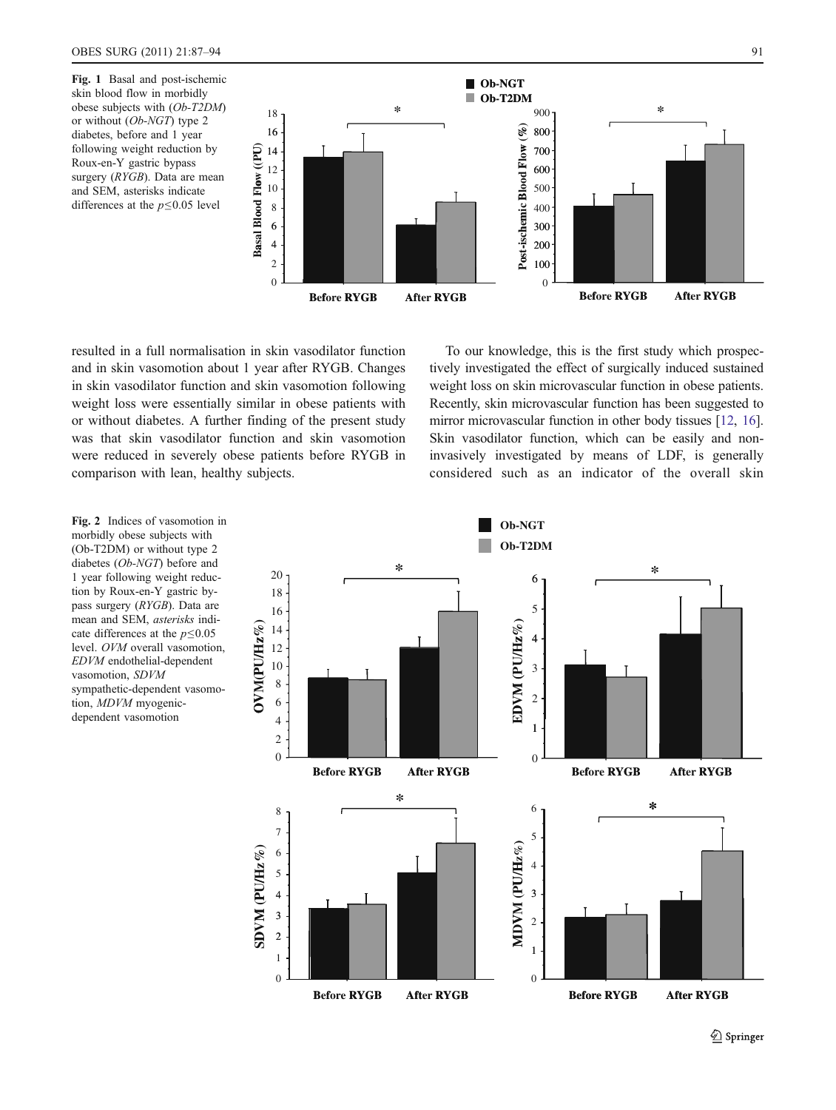<span id="page-4-0"></span>Fig. 1 Basal and post-ischemic skin blood flow in morbidly obese subjects with (Ob-T2DM) or without (Ob-NGT) type 2 diabetes, before and 1 year following weight reduction by Roux-en-Y gastric bypass surgery (RYGB). Data are mean and SEM, asterisks indicate differences at the  $p \le 0.05$  level



resulted in a full normalisation in skin vasodilator function and in skin vasomotion about 1 year after RYGB. Changes in skin vasodilator function and skin vasomotion following weight loss were essentially similar in obese patients with or without diabetes. A further finding of the present study was that skin vasodilator function and skin vasomotion were reduced in severely obese patients before RYGB in comparison with lean, healthy subjects.

To our knowledge, this is the first study which prospectively investigated the effect of surgically induced sustained weight loss on skin microvascular function in obese patients. Recently, skin microvascular function has been suggested to mirror microvascular function in other body tissues [\[12,](#page-6-0) [16\]](#page-6-0). Skin vasodilator function, which can be easily and noninvasively investigated by means of LDF, is generally considered such as an indicator of the overall skin

Fig. 2 Indices of vasomotion in morbidly obese subjects with (Ob-T2DM) or without type 2 diabetes (Ob-NGT) before and 1 year following weight reduction by Roux-en-Y gastric bypass surgery (RYGB). Data are mean and SEM, asterisks indicate differences at the  $p \le 0.05$ level. OVM overall vasomotion, EDVM endothelial-dependent vasomotion, SDVM sympathetic-dependent vasomotion, MDVM myogenicdependent vasomotion



2 Springer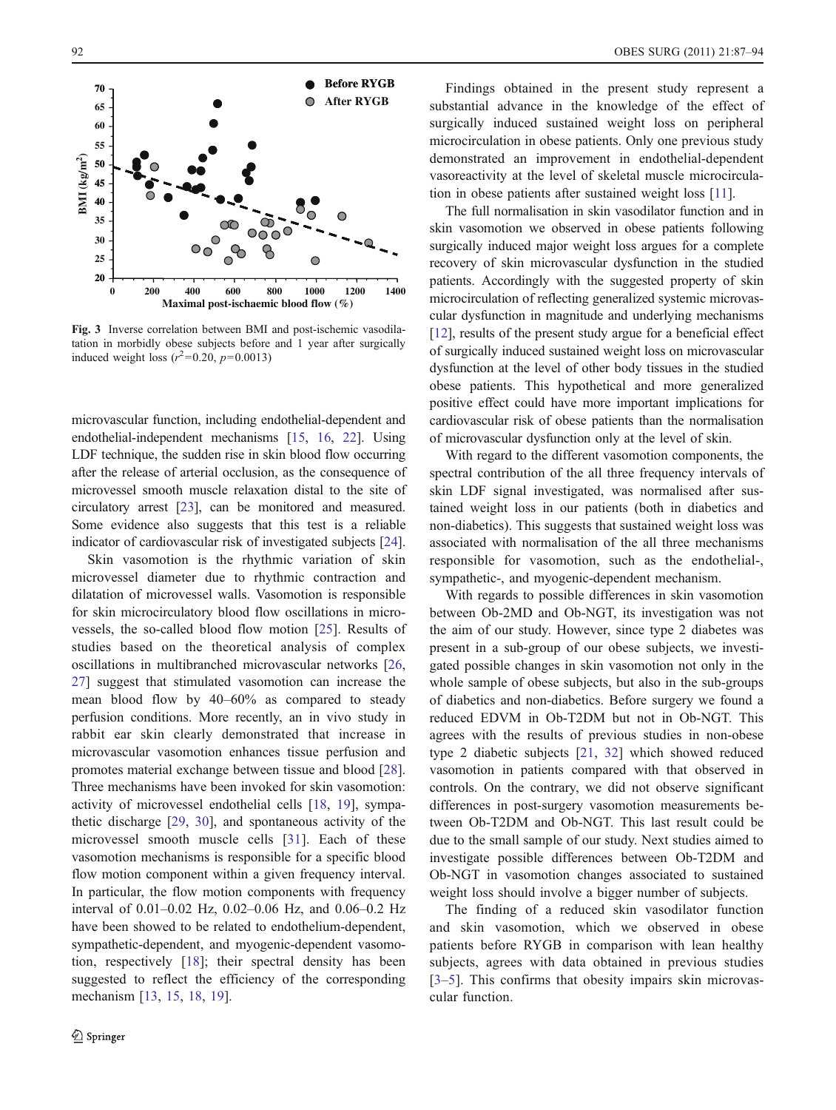<span id="page-5-0"></span>

Fig. 3 Inverse correlation between BMI and post-ischemic vasodilatation in morbidly obese subjects before and 1 year after surgically induced weight loss  $(r^2=0.20, p=0.0013)$ 

microvascular function, including endothelial-dependent and endothelial-independent mechanisms [[15](#page-6-0), [16,](#page-6-0) [22](#page-7-0)]. Using LDF technique, the sudden rise in skin blood flow occurring after the release of arterial occlusion, as the consequence of microvessel smooth muscle relaxation distal to the site of circulatory arrest [[23](#page-7-0)], can be monitored and measured. Some evidence also suggests that this test is a reliable indicator of cardiovascular risk of investigated subjects [[24\]](#page-7-0).

Skin vasomotion is the rhythmic variation of skin microvessel diameter due to rhythmic contraction and dilatation of microvessel walls. Vasomotion is responsible for skin microcirculatory blood flow oscillations in microvessels, the so-called blood flow motion [\[25](#page-7-0)]. Results of studies based on the theoretical analysis of complex oscillations in multibranched microvascular networks [[26,](#page-7-0) [27](#page-7-0)] suggest that stimulated vasomotion can increase the mean blood flow by 40–60% as compared to steady perfusion conditions. More recently, an in vivo study in rabbit ear skin clearly demonstrated that increase in microvascular vasomotion enhances tissue perfusion and promotes material exchange between tissue and blood [\[28](#page-7-0)]. Three mechanisms have been invoked for skin vasomotion: activity of microvessel endothelial cells [\[18](#page-6-0), [19\]](#page-6-0), sympathetic discharge [\[29](#page-7-0), [30\]](#page-7-0), and spontaneous activity of the microvessel smooth muscle cells [[31\]](#page-7-0). Each of these vasomotion mechanisms is responsible for a specific blood flow motion component within a given frequency interval. In particular, the flow motion components with frequency interval of 0.01–0.02 Hz, 0.02–0.06 Hz, and 0.06–0.2 Hz have been showed to be related to endothelium-dependent, sympathetic-dependent, and myogenic-dependent vasomotion, respectively [\[18](#page-6-0)]; their spectral density has been suggested to reflect the efficiency of the corresponding mechanism [[13,](#page-6-0) [15](#page-6-0), [18](#page-6-0), [19\]](#page-6-0).

Findings obtained in the present study represent a substantial advance in the knowledge of the effect of surgically induced sustained weight loss on peripheral microcirculation in obese patients. Only one previous study demonstrated an improvement in endothelial-dependent vasoreactivity at the level of skeletal muscle microcirculation in obese patients after sustained weight loss [[11\]](#page-6-0).

The full normalisation in skin vasodilator function and in skin vasomotion we observed in obese patients following surgically induced major weight loss argues for a complete recovery of skin microvascular dysfunction in the studied patients. Accordingly with the suggested property of skin microcirculation of reflecting generalized systemic microvascular dysfunction in magnitude and underlying mechanisms [\[12](#page-6-0)], results of the present study argue for a beneficial effect of surgically induced sustained weight loss on microvascular dysfunction at the level of other body tissues in the studied obese patients. This hypothetical and more generalized positive effect could have more important implications for cardiovascular risk of obese patients than the normalisation of microvascular dysfunction only at the level of skin.

With regard to the different vasomotion components, the spectral contribution of the all three frequency intervals of skin LDF signal investigated, was normalised after sustained weight loss in our patients (both in diabetics and non-diabetics). This suggests that sustained weight loss was associated with normalisation of the all three mechanisms responsible for vasomotion, such as the endothelial-, sympathetic-, and myogenic-dependent mechanism.

With regards to possible differences in skin vasomotion between Ob-2MD and Ob-NGT, its investigation was not the aim of our study. However, since type 2 diabetes was present in a sub-group of our obese subjects, we investigated possible changes in skin vasomotion not only in the whole sample of obese subjects, but also in the sub-groups of diabetics and non-diabetics. Before surgery we found a reduced EDVM in Ob-T2DM but not in Ob-NGT. This agrees with the results of previous studies in non-obese type 2 diabetic subjects [[21,](#page-6-0) [32\]](#page-7-0) which showed reduced vasomotion in patients compared with that observed in controls. On the contrary, we did not observe significant differences in post-surgery vasomotion measurements between Ob-T2DM and Ob-NGT. This last result could be due to the small sample of our study. Next studies aimed to investigate possible differences between Ob-T2DM and Ob-NGT in vasomotion changes associated to sustained weight loss should involve a bigger number of subjects.

The finding of a reduced skin vasodilator function and skin vasomotion, which we observed in obese patients before RYGB in comparison with lean healthy subjects, agrees with data obtained in previous studies [\[3](#page-6-0)–[5\]](#page-6-0). This confirms that obesity impairs skin microvascular function.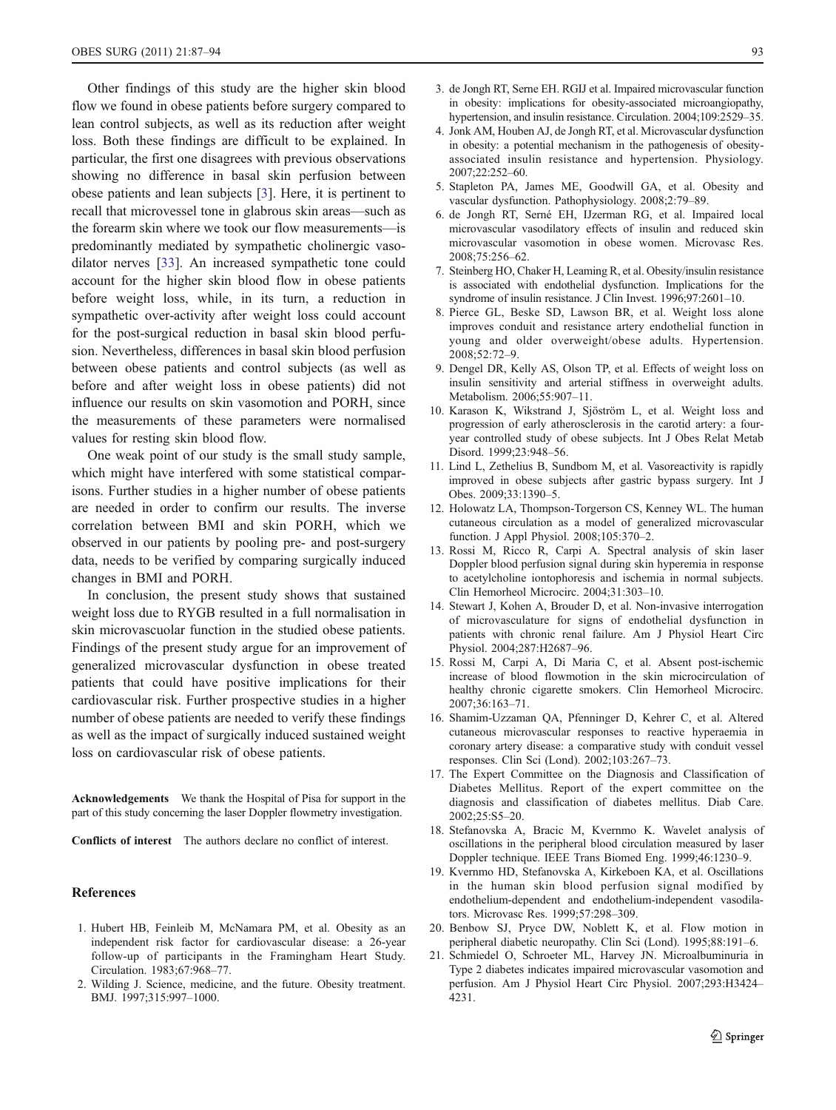<span id="page-6-0"></span>Other findings of this study are the higher skin blood flow we found in obese patients before surgery compared to lean control subjects, as well as its reduction after weight loss. Both these findings are difficult to be explained. In particular, the first one disagrees with previous observations showing no difference in basal skin perfusion between obese patients and lean subjects [3]. Here, it is pertinent to recall that microvessel tone in glabrous skin areas—such as the forearm skin where we took our flow measurements—is predominantly mediated by sympathetic cholinergic vasodilator nerves [[33\]](#page-7-0). An increased sympathetic tone could account for the higher skin blood flow in obese patients before weight loss, while, in its turn, a reduction in sympathetic over-activity after weight loss could account for the post-surgical reduction in basal skin blood perfusion. Nevertheless, differences in basal skin blood perfusion between obese patients and control subjects (as well as before and after weight loss in obese patients) did not influence our results on skin vasomotion and PORH, since the measurements of these parameters were normalised values for resting skin blood flow.

One weak point of our study is the small study sample, which might have interfered with some statistical comparisons. Further studies in a higher number of obese patients are needed in order to confirm our results. The inverse correlation between BMI and skin PORH, which we observed in our patients by pooling pre- and post-surgery data, needs to be verified by comparing surgically induced changes in BMI and PORH.

In conclusion, the present study shows that sustained weight loss due to RYGB resulted in a full normalisation in skin microvascuolar function in the studied obese patients. Findings of the present study argue for an improvement of generalized microvascular dysfunction in obese treated patients that could have positive implications for their cardiovascular risk. Further prospective studies in a higher number of obese patients are needed to verify these findings as well as the impact of surgically induced sustained weight loss on cardiovascular risk of obese patients.

Acknowledgements We thank the Hospital of Pisa for support in the part of this study concerning the laser Doppler flowmetry investigation.

Conflicts of interest The authors declare no conflict of interest.

#### References

- 1. Hubert HB, Feinleib M, McNamara PM, et al. Obesity as an independent risk factor for cardiovascular disease: a 26-year follow-up of participants in the Framingham Heart Study. Circulation. 1983;67:968–77.
- 2. Wilding J. Science, medicine, and the future. Obesity treatment. BMJ. 1997;315:997–1000.
- 3. de Jongh RT, Serne EH. RGIJ et al. Impaired microvascular function in obesity: implications for obesity-associated microangiopathy, hypertension, and insulin resistance. Circulation. 2004;109:2529–35.
- 4. Jonk AM, Houben AJ, de Jongh RT, et al. Microvascular dysfunction in obesity: a potential mechanism in the pathogenesis of obesityassociated insulin resistance and hypertension. Physiology. 2007;22:252–60.
- 5. Stapleton PA, James ME, Goodwill GA, et al. Obesity and vascular dysfunction. Pathophysiology. 2008;2:79–89.
- 6. de Jongh RT, Serné EH, IJzerman RG, et al. Impaired local microvascular vasodilatory effects of insulin and reduced skin microvascular vasomotion in obese women. Microvasc Res. 2008;75:256–62.
- 7. Steinberg HO, Chaker H, Leaming R, et al. Obesity/insulin resistance is associated with endothelial dysfunction. Implications for the syndrome of insulin resistance. J Clin Invest. 1996;97:2601–10.
- 8. Pierce GL, Beske SD, Lawson BR, et al. Weight loss alone improves conduit and resistance artery endothelial function in young and older overweight/obese adults. Hypertension. 2008;52:72–9.
- 9. Dengel DR, Kelly AS, Olson TP, et al. Effects of weight loss on insulin sensitivity and arterial stiffness in overweight adults. Metabolism. 2006;55:907–11.
- 10. Karason K, Wikstrand J, Sjöström L, et al. Weight loss and progression of early atherosclerosis in the carotid artery: a fouryear controlled study of obese subjects. Int J Obes Relat Metab Disord. 1999;23:948–56.
- 11. Lind L, Zethelius B, Sundbom M, et al. Vasoreactivity is rapidly improved in obese subjects after gastric bypass surgery. Int J Obes. 2009;33:1390–5.
- 12. Holowatz LA, Thompson-Torgerson CS, Kenney WL. The human cutaneous circulation as a model of generalized microvascular function. J Appl Physiol. 2008;105:370–2.
- 13. Rossi M, Ricco R, Carpi A. Spectral analysis of skin laser Doppler blood perfusion signal during skin hyperemia in response to acetylcholine iontophoresis and ischemia in normal subjects. Clin Hemorheol Microcirc. 2004;31:303–10.
- 14. Stewart J, Kohen A, Brouder D, et al. Non-invasive interrogation of microvasculature for signs of endothelial dysfunction in patients with chronic renal failure. Am J Physiol Heart Circ Physiol. 2004;287:H2687–96.
- 15. Rossi M, Carpi A, Di Maria C, et al. Absent post-ischemic increase of blood flowmotion in the skin microcirculation of healthy chronic cigarette smokers. Clin Hemorheol Microcirc. 2007;36:163–71.
- 16. Shamim-Uzzaman QA, Pfenninger D, Kehrer C, et al. Altered cutaneous microvascular responses to reactive hyperaemia in coronary artery disease: a comparative study with conduit vessel responses. Clin Sci (Lond). 2002;103:267–73.
- 17. The Expert Committee on the Diagnosis and Classification of Diabetes Mellitus. Report of the expert committee on the diagnosis and classification of diabetes mellitus. Diab Care. 2002;25:S5–20.
- 18. Stefanovska A, Bracic M, Kvernmo K. Wavelet analysis of oscillations in the peripheral blood circulation measured by laser Doppler technique. IEEE Trans Biomed Eng. 1999;46:1230–9.
- 19. Kvernmo HD, Stefanovska A, Kirkeboen KA, et al. Oscillations in the human skin blood perfusion signal modified by endothelium-dependent and endothelium-independent vasodilators. Microvasc Res. 1999;57:298–309.
- 20. Benbow SJ, Pryce DW, Noblett K, et al. Flow motion in peripheral diabetic neuropathy. Clin Sci (Lond). 1995;88:191–6.
- 21. Schmiedel O, Schroeter ML, Harvey JN. Microalbuminuria in Type 2 diabetes indicates impaired microvascular vasomotion and perfusion. Am J Physiol Heart Circ Physiol. 2007;293:H3424– 4231.